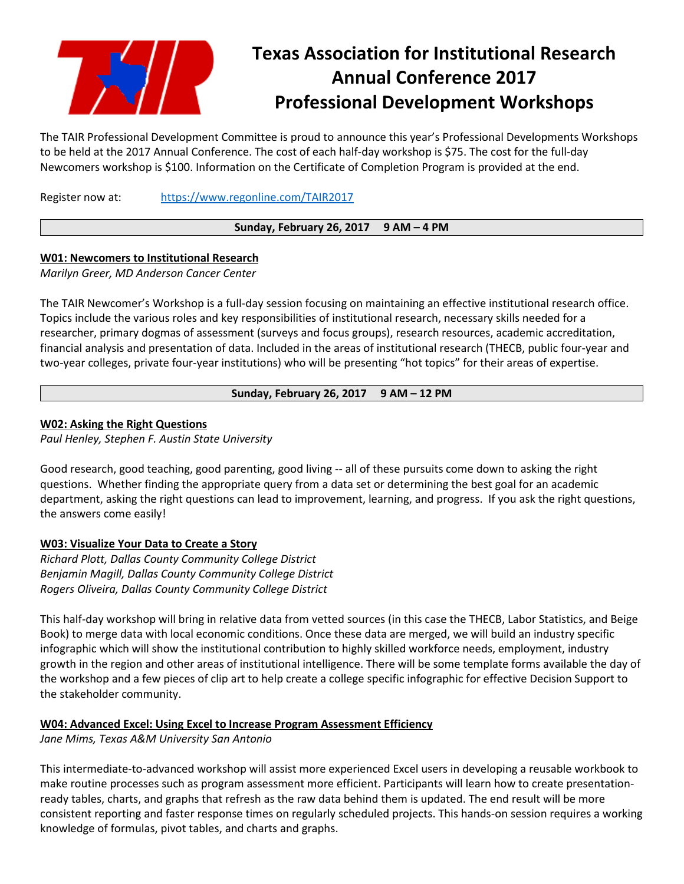

# **Texas Association for Institutional Research Annual Conference 2017 Professional Development Workshops**

The TAIR Professional Development Committee is proud to announce this year's Professional Developments Workshops to be held at the 2017 Annual Conference. The cost of each half-day workshop is \$75. The cost for the full-day Newcomers workshop is \$100. Information on the Certificate of Completion Program is provided at the end.

Register now at: <https://www.regonline.com/TAIR2017>

## **Sunday, February 26, 2017 9 AM – 4 PM**

## **W01: Newcomers to Institutional Research**

*Marilyn Greer, MD Anderson Cancer Center*

The TAIR Newcomer's Workshop is a full-day session focusing on maintaining an effective institutional research office. Topics include the various roles and key responsibilities of institutional research, necessary skills needed for a researcher, primary dogmas of assessment (surveys and focus groups), research resources, academic accreditation, financial analysis and presentation of data. Included in the areas of institutional research (THECB, public four-year and two-year colleges, private four-year institutions) who will be presenting "hot topics" for their areas of expertise.

# **Sunday, February 26, 2017 9 AM – 12 PM**

## **W02: Asking the Right Questions**

*Paul Henley, Stephen F. Austin State University*

Good research, good teaching, good parenting, good living -- all of these pursuits come down to asking the right questions. Whether finding the appropriate query from a data set or determining the best goal for an academic department, asking the right questions can lead to improvement, learning, and progress. If you ask the right questions, the answers come easily!

#### **W03: Visualize Your Data to Create a Story**

*Richard Plott, Dallas County Community College District Benjamin Magill, Dallas County Community College District Rogers Oliveira, Dallas County Community College District*

This half-day workshop will bring in relative data from vetted sources (in this case the THECB, Labor Statistics, and Beige Book) to merge data with local economic conditions. Once these data are merged, we will build an industry specific infographic which will show the institutional contribution to highly skilled workforce needs, employment, industry growth in the region and other areas of institutional intelligence. There will be some template forms available the day of the workshop and a few pieces of clip art to help create a college specific infographic for effective Decision Support to the stakeholder community.

## **W04: Advanced Excel: Using Excel to Increase Program Assessment Efficiency**

*Jane Mims, Texas A&M University San Antonio*

This intermediate-to-advanced workshop will assist more experienced Excel users in developing a reusable workbook to make routine processes such as program assessment more efficient. Participants will learn how to create presentationready tables, charts, and graphs that refresh as the raw data behind them is updated. The end result will be more consistent reporting and faster response times on regularly scheduled projects. This hands-on session requires a working knowledge of formulas, pivot tables, and charts and graphs.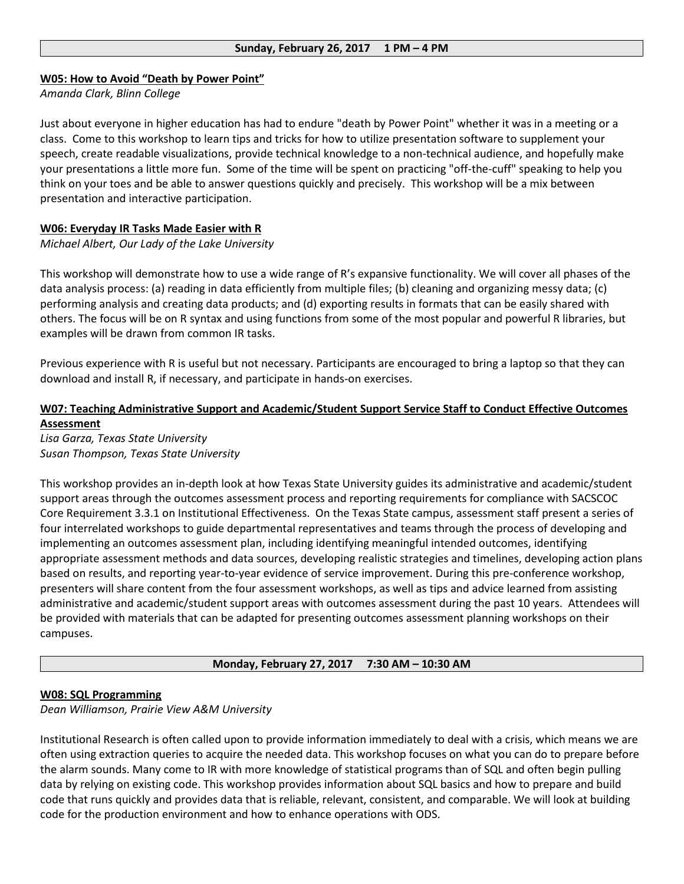#### **W05: How to Avoid "Death by Power Point"**

*Amanda Clark, Blinn College*

Just about everyone in higher education has had to endure "death by Power Point" whether it was in a meeting or a class. Come to this workshop to learn tips and tricks for how to utilize presentation software to supplement your speech, create readable visualizations, provide technical knowledge to a non-technical audience, and hopefully make your presentations a little more fun. Some of the time will be spent on practicing "off-the-cuff" speaking to help you think on your toes and be able to answer questions quickly and precisely. This workshop will be a mix between presentation and interactive participation.

#### **W06: Everyday IR Tasks Made Easier with R**

*Michael Albert, Our Lady of the Lake University*

This workshop will demonstrate how to use a wide range of R's expansive functionality. We will cover all phases of the data analysis process: (a) reading in data efficiently from multiple files; (b) cleaning and organizing messy data; (c) performing analysis and creating data products; and (d) exporting results in formats that can be easily shared with others. The focus will be on R syntax and using functions from some of the most popular and powerful R libraries, but examples will be drawn from common IR tasks.

Previous experience with R is useful but not necessary. Participants are encouraged to bring a laptop so that they can download and install R, if necessary, and participate in hands-on exercises.

# **W07: Teaching Administrative Support and Academic/Student Support Service Staff to Conduct Effective Outcomes Assessment**

*Lisa Garza, Texas State University Susan Thompson, Texas State University*

This workshop provides an in-depth look at how Texas State University guides its administrative and academic/student support areas through the outcomes assessment process and reporting requirements for compliance with SACSCOC Core Requirement 3.3.1 on Institutional Effectiveness. On the Texas State campus, assessment staff present a series of four interrelated workshops to guide departmental representatives and teams through the process of developing and implementing an outcomes assessment plan, including identifying meaningful intended outcomes, identifying appropriate assessment methods and data sources, developing realistic strategies and timelines, developing action plans based on results, and reporting year-to-year evidence of service improvement. During this pre-conference workshop, presenters will share content from the four assessment workshops, as well as tips and advice learned from assisting administrative and academic/student support areas with outcomes assessment during the past 10 years. Attendees will be provided with materials that can be adapted for presenting outcomes assessment planning workshops on their campuses.

**Monday, February 27, 2017 7:30 AM – 10:30 AM**

#### **W08: SQL Programming**

*Dean Williamson, Prairie View A&M University*

Institutional Research is often called upon to provide information immediately to deal with a crisis, which means we are often using extraction queries to acquire the needed data. This workshop focuses on what you can do to prepare before the alarm sounds. Many come to IR with more knowledge of statistical programs than of SQL and often begin pulling data by relying on existing code. This workshop provides information about SQL basics and how to prepare and build code that runs quickly and provides data that is reliable, relevant, consistent, and comparable. We will look at building code for the production environment and how to enhance operations with ODS.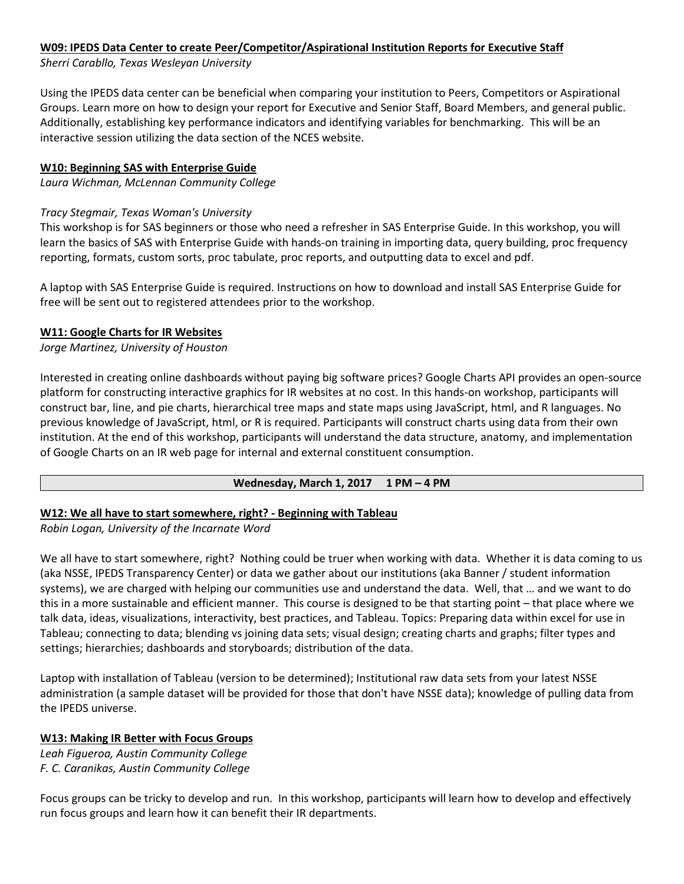# **W09: IPEDS Data Center to create Peer/Competitor/Aspirational Institution Reports for Executive Staff**

*Sherri Carabllo, Texas Wesleyan University*

Using the IPEDS data center can be beneficial when comparing your institution to Peers, Competitors or Aspirational Groups. Learn more on how to design your report for Executive and Senior Staff, Board Members, and general public. Additionally, establishing key performance indicators and identifying variables for benchmarking. This will be an interactive session utilizing the data section of the NCES website.

## **W10: Beginning SAS with Enterprise Guide**

*Laura Wichman, McLennan Community College*

## *Tracy Stegmair, Texas Woman's University*

This workshop is for SAS beginners or those who need a refresher in SAS Enterprise Guide. In this workshop, you will learn the basics of SAS with Enterprise Guide with hands-on training in importing data, query building, proc frequency reporting, formats, custom sorts, proc tabulate, proc reports, and outputting data to excel and pdf.

A laptop with SAS Enterprise Guide is required. Instructions on how to download and install SAS Enterprise Guide for free will be sent out to registered attendees prior to the workshop.

#### **W11: Google Charts for IR Websites**

*Jorge Martinez, University of Houston*

Interested in creating online dashboards without paying big software prices? Google Charts API provides an open-source platform for constructing interactive graphics for IR websites at no cost. In this hands-on workshop, participants will construct bar, line, and pie charts, hierarchical tree maps and state maps using JavaScript, html, and R languages. No previous knowledge of JavaScript, html, or R is required. Participants will construct charts using data from their own institution. At the end of this workshop, participants will understand the data structure, anatomy, and implementation of Google Charts on an IR web page for internal and external constituent consumption.

#### **Wednesday, March 1, 2017 1 PM – 4 PM**

## **W12: We all have to start somewhere, right? - Beginning with Tableau**

*Robin Logan, University of the Incarnate Word*

We all have to start somewhere, right? Nothing could be truer when working with data. Whether it is data coming to us (aka NSSE, IPEDS Transparency Center) or data we gather about our institutions (aka Banner / student information systems), we are charged with helping our communities use and understand the data. Well, that … and we want to do this in a more sustainable and efficient manner. This course is designed to be that starting point – that place where we talk data, ideas, visualizations, interactivity, best practices, and Tableau. Topics: Preparing data within excel for use in Tableau; connecting to data; blending vs joining data sets; visual design; creating charts and graphs; filter types and settings; hierarchies; dashboards and storyboards; distribution of the data.

Laptop with installation of Tableau (version to be determined); Institutional raw data sets from your latest NSSE administration (a sample dataset will be provided for those that don't have NSSE data); knowledge of pulling data from the IPEDS universe.

## **W13: Making IR Better with Focus Groups**

*Leah Figueroa, Austin Community College F. C. Caranikas, Austin Community College*

Focus groups can be tricky to develop and run. In this workshop, participants will learn how to develop and effectively run focus groups and learn how it can benefit their IR departments.